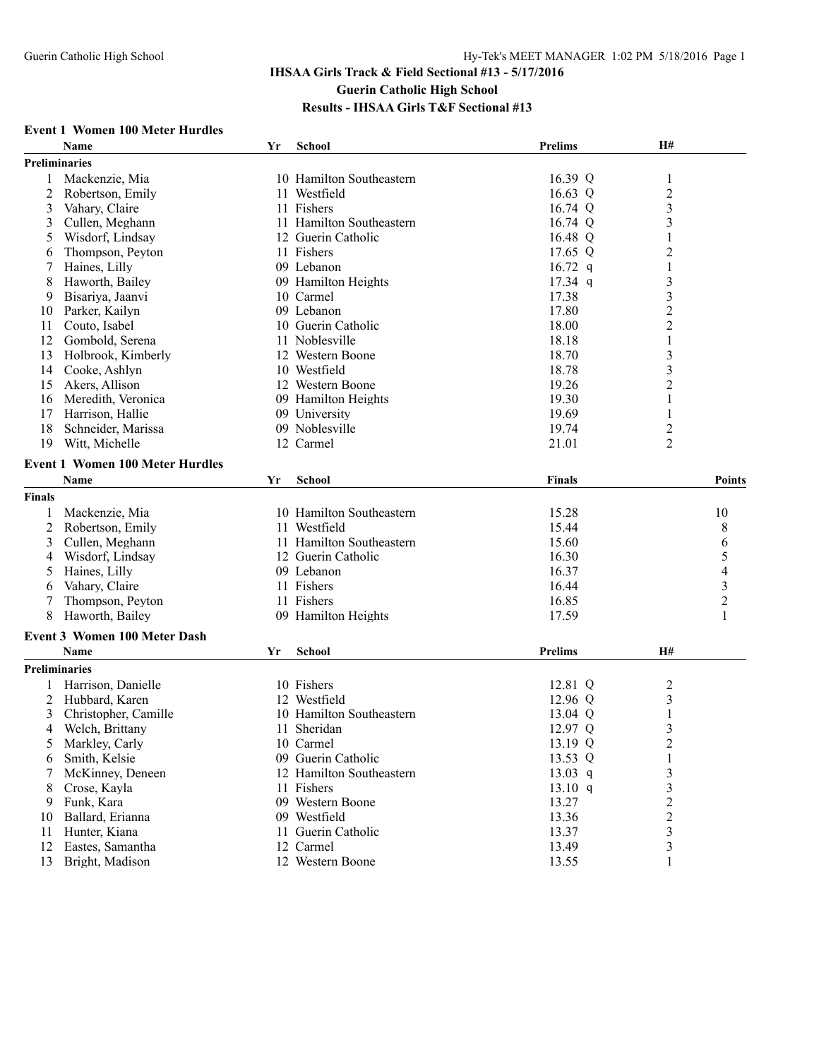#### **Event 1 Women 100 Meter Hurdles**

|               | Name                                   | Yr | School                   | <b>Prelims</b> | H#                      |                          |
|---------------|----------------------------------------|----|--------------------------|----------------|-------------------------|--------------------------|
|               | <b>Preliminaries</b>                   |    |                          |                |                         |                          |
| 1             | Mackenzie, Mia                         |    | 10 Hamilton Southeastern | 16.39 $Q$      | $\mathbf{1}$            |                          |
| 2             | Robertson, Emily                       |    | 11 Westfield             | 16.63 Q        | $\overline{\mathbf{c}}$ |                          |
| 3             | Vahary, Claire                         |    | 11 Fishers               | 16.74 Q        | $\overline{\mathbf{3}}$ |                          |
| 3             | Cullen, Meghann                        |    | 11 Hamilton Southeastern | 16.74 Q        | $\mathfrak{Z}$          |                          |
| 5             | Wisdorf, Lindsay                       |    | 12 Guerin Catholic       | 16.48 Q        | 1                       |                          |
| 6             | Thompson, Peyton                       |    | 11 Fishers               | 17.65 Q        | $\overline{c}$          |                          |
| 7             | Haines, Lilly                          |    | 09 Lebanon               | 16.72 $q$      | $\mathbf{1}$            |                          |
| 8             | Haworth, Bailey                        |    | 09 Hamilton Heights      | $17.34$ q      | $\mathfrak{Z}$          |                          |
| 9             | Bisariya, Jaanvi                       |    | 10 Carmel                | 17.38          | $\mathfrak{Z}$          |                          |
| 10            | Parker, Kailyn                         |    | 09 Lebanon               | 17.80          | $\boldsymbol{2}$        |                          |
| 11            | Couto, Isabel                          |    | 10 Guerin Catholic       | 18.00          | $\overline{c}$          |                          |
| 12            | Gombold, Serena                        |    | 11 Noblesville           | 18.18          | $\mathbf 1$             |                          |
| 13            | Holbrook, Kimberly                     |    | 12 Western Boone         | 18.70          | $\mathfrak{Z}$          |                          |
| 14            | Cooke, Ashlyn                          |    | 10 Westfield             | 18.78          | 3                       |                          |
|               |                                        |    |                          | 19.26          | $\overline{2}$          |                          |
| 15            | Akers, Allison                         |    | 12 Western Boone         | 19.30          |                         |                          |
| 16            | Meredith, Veronica                     |    | 09 Hamilton Heights      |                | 1                       |                          |
| 17            | Harrison, Hallie                       |    | 09 University            | 19.69          | 1                       |                          |
| 18            | Schneider, Marissa                     |    | 09 Noblesville           | 19.74          | $\overline{c}$          |                          |
| 19            | Witt, Michelle                         |    | 12 Carmel                | 21.01          | $\overline{2}$          |                          |
|               | <b>Event 1 Women 100 Meter Hurdles</b> |    |                          |                |                         |                          |
|               | Name                                   | Yr | School                   | <b>Finals</b>  |                         | Points                   |
| <b>Finals</b> |                                        |    |                          |                |                         |                          |
|               | Mackenzie, Mia                         |    | 10 Hamilton Southeastern | 15.28          |                         | 10                       |
| 2             | Robertson, Emily                       |    | 11 Westfield             | 15.44          |                         | 8                        |
| 3             | Cullen, Meghann                        |    | 11 Hamilton Southeastern | 15.60          |                         | 6                        |
| 4             | Wisdorf, Lindsay                       |    | 12 Guerin Catholic       | 16.30          |                         | 5                        |
| 5             | Haines, Lilly                          |    | 09 Lebanon               | 16.37          |                         | $\overline{\mathcal{L}}$ |
| 6             | Vahary, Claire                         |    | 11 Fishers               | 16.44          |                         | 3                        |
|               | Thompson, Peyton                       |    | 11 Fishers               | 16.85          |                         | $\overline{c}$           |
| 8             | Haworth, Bailey                        |    | 09 Hamilton Heights      | 17.59          |                         | 1                        |
|               |                                        |    |                          |                |                         |                          |
|               | <b>Event 3 Women 100 Meter Dash</b>    |    |                          |                |                         |                          |
|               | Name                                   | Yr | School                   | <b>Prelims</b> | H#                      |                          |
|               | <b>Preliminaries</b>                   |    |                          |                |                         |                          |
|               | Harrison, Danielle                     |    | 10 Fishers               | 12.81 Q        | 2                       |                          |
| 2             | Hubbard, Karen                         |    | 12 Westfield             | 12.96 Q        | $\mathfrak{Z}$          |                          |
| 3             | Christopher, Camille                   |    | 10 Hamilton Southeastern | 13.04 Q        | 1                       |                          |
| 4             | Welch, Brittany                        |    | 11 Sheridan              | 12.97 Q        | 3                       |                          |
| C             | Markley, Carly                         |    | 10 Carmel                | 13.19 Q        | 2                       |                          |
| 6             | Smith, Kelsie                          |    | 09 Guerin Catholic       | 13.53 Q        |                         |                          |
|               | McKinney, Deneen                       |    | 12 Hamilton Southeastern | $13.03$ q      | 3                       |                          |
| 8             | Crose, Kayla                           |    | 11 Fishers               | 13.10 q        | 3                       |                          |
| 9             | Funk, Kara                             |    | 09 Western Boone         | 13.27          | $\overline{c}$          |                          |
| 10            | Ballard, Erianna                       |    | 09 Westfield             | 13.36          | 2                       |                          |
| 11            | Hunter, Kiana                          |    | 11 Guerin Catholic       | 13.37          | 3                       |                          |
| 12            | Eastes, Samantha                       |    | 12 Carmel                | 13.49          | 3                       |                          |
| 13            | Bright, Madison                        |    | 12 Western Boone         | 13.55          | 1                       |                          |
|               |                                        |    |                          |                |                         |                          |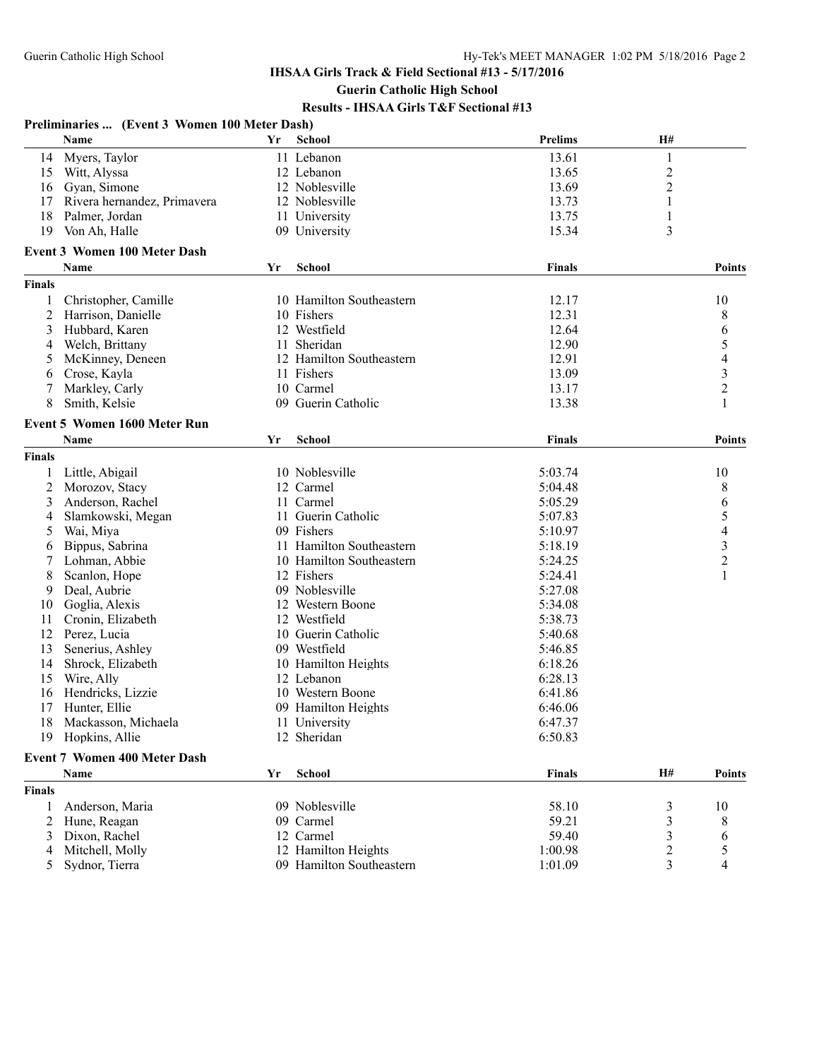|               | Preliminaries  (Event 3 Women 100 Meter Dash) |    |                          |                |                  |                         |
|---------------|-----------------------------------------------|----|--------------------------|----------------|------------------|-------------------------|
|               | Name                                          | Yr | School                   | <b>Prelims</b> | H#               |                         |
| 14            | Myers, Taylor                                 |    | 11 Lebanon               | 13.61          | $\,1$            |                         |
| 15            | Witt, Alyssa                                  |    | 12 Lebanon               | 13.65          | $\boldsymbol{2}$ |                         |
| 16            | Gyan, Simone                                  |    | 12 Noblesville           | 13.69          | 2                |                         |
| 17            | Rivera hernandez, Primavera                   |    | 12 Noblesville           | 13.73          | 1                |                         |
| 18            | Palmer, Jordan                                |    | 11 University            | 13.75          | 1                |                         |
| 19            | Von Ah, Halle                                 |    | 09 University            | 15.34          | 3                |                         |
|               | <b>Event 3 Women 100 Meter Dash</b>           |    |                          |                |                  |                         |
|               | Name                                          | Yr | <b>School</b>            | <b>Finals</b>  |                  | <b>Points</b>           |
| <b>Finals</b> |                                               |    |                          |                |                  |                         |
| 1             | Christopher, Camille                          |    | 10 Hamilton Southeastern | 12.17          |                  | 10                      |
| 2             | Harrison, Danielle                            |    | 10 Fishers               | 12.31          |                  | 8                       |
| 3             | Hubbard, Karen                                |    | 12 Westfield             | 12.64          |                  | 6                       |
| 4             | Welch, Brittany                               |    | 11 Sheridan              | 12.90          |                  | 5                       |
| 5             | McKinney, Deneen                              |    | 12 Hamilton Southeastern | 12.91          |                  | $\overline{4}$          |
| 6             | Crose, Kayla                                  |    | 11 Fishers               | 13.09          |                  |                         |
| 7             | Markley, Carly                                |    | 10 Carmel                | 13.17          |                  | $\frac{3}{2}$           |
| 8             | Smith, Kelsie                                 |    | 09 Guerin Catholic       | 13.38          |                  | $\mathbf{1}$            |
|               |                                               |    |                          |                |                  |                         |
|               | <b>Event 5 Women 1600 Meter Run</b>           |    |                          |                |                  |                         |
|               | Name                                          | Yr | <b>School</b>            | <b>Finals</b>  |                  | <b>Points</b>           |
| <b>Finals</b> |                                               |    |                          |                |                  |                         |
|               | Little, Abigail                               |    | 10 Noblesville           | 5:03.74        |                  | 10                      |
| 2             | Morozov, Stacy                                |    | 12 Carmel                | 5:04.48        |                  | 8                       |
| 3             | Anderson, Rachel                              |    | 11 Carmel                | 5:05.29        |                  | 6                       |
| 4             | Slamkowski, Megan                             |    | 11 Guerin Catholic       | 5:07.83        |                  | 5                       |
| 5             | Wai, Miya                                     |    | 09 Fishers               | 5:10.97        |                  | $\overline{4}$          |
| 6             | Bippus, Sabrina                               |    | 11 Hamilton Southeastern | 5:18.19        |                  | $\overline{\mathbf{3}}$ |
| 7             | Lohman, Abbie                                 |    | 10 Hamilton Southeastern | 5:24.25        |                  | $\overline{2}$          |
| 8             | Scanlon, Hope                                 |    | 12 Fishers               | 5:24.41        |                  | $\mathbf{1}$            |
| 9             | Deal, Aubrie                                  |    | 09 Noblesville           | 5:27.08        |                  |                         |
| 10            | Goglia, Alexis                                |    | 12 Western Boone         | 5:34.08        |                  |                         |
| 11            | Cronin, Elizabeth                             |    | 12 Westfield             | 5:38.73        |                  |                         |
| 12            | Perez, Lucia                                  |    | 10 Guerin Catholic       | 5:40.68        |                  |                         |
| 13            | Senerius, Ashley                              |    | 09 Westfield             | 5:46.85        |                  |                         |
| 14            | Shrock, Elizabeth                             |    | 10 Hamilton Heights      | 6:18.26        |                  |                         |
| 15            | Wire, Ally                                    |    | 12 Lebanon               | 6:28.13        |                  |                         |
| 16            | Hendricks, Lizzie                             |    | 10 Western Boone         | 6:41.86        |                  |                         |
|               | 17 Hunter, Ellie                              |    | 09 Hamilton Heights      | 6:46.06        |                  |                         |
| 18            | Mackasson, Michaela                           |    | 11 University            | 6:47.37        |                  |                         |
| 19            | Hopkins, Allie                                |    | 12 Sheridan              | 6:50.83        |                  |                         |
|               | Event 7 Women 400 Meter Dash                  |    |                          |                |                  |                         |
|               | Name                                          | Yr | <b>School</b>            | <b>Finals</b>  | H#               | <b>Points</b>           |
| <b>Finals</b> |                                               |    |                          |                |                  |                         |
| 1             | Anderson, Maria                               |    | 09 Noblesville           | 58.10          | 3                | 10                      |
| 2             | Hune, Reagan                                  |    | 09 Carmel                | 59.21          | 3                | 8                       |
| 3             | Dixon, Rachel                                 |    | 12 Carmel                | 59.40          | 3                | 6                       |
| 4             | Mitchell, Molly                               |    | 12 Hamilton Heights      | 1:00.98        | $\overline{c}$   | 5                       |
| 5             | Sydnor, Tierra                                |    | 09 Hamilton Southeastern | 1:01.09        | 3                | 4                       |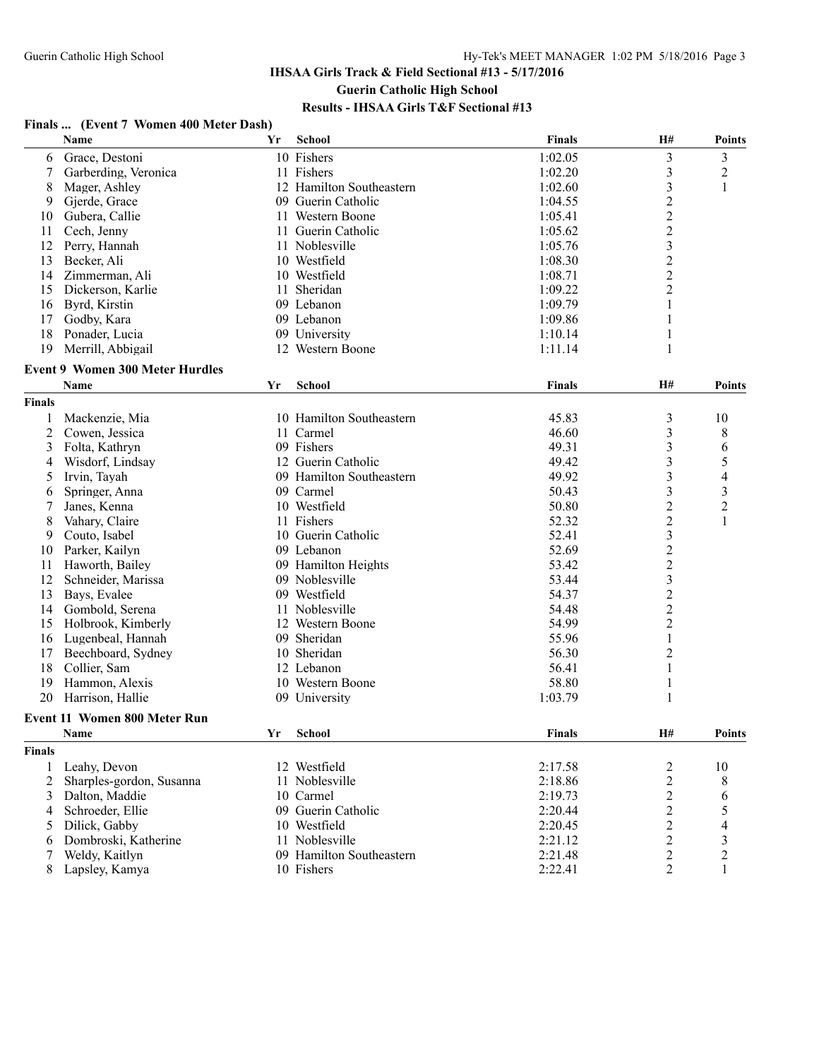#### **Finals ... (Event 7 Women 400 Meter Dash) Name Yr School Finals H# Points** 6 Grace, Destoni 10 Fishers 1:02.05 3 3 3<br>
7 Garberding Veronica 11 Fishers 1:02.20 3 2 7 Garberding, Veronica 11 Fishers 1:02.20 8 Mager, Ashley 12 Hamilton Southeastern 1:02.60 3 1 9 Gjerde, Grace 1:04.55 2<br>
19 Guerin Catholic 1:04.55 2<br>
19 Guerin Catholic 1:05.41 2 10 Gubera, Callie 11 Western Boone 1:05.41 11 Cech, Jenny 11 Guerin Catholic 1:05.62 2 12 Perry, Hannah 11 Noblesville 1:05.76 3 13 Becker, Ali 10 Westfield 1:08.30 2 14 Zimmerman, Ali 10 Westfield 1:08.71 2 15 Dickerson, Karlie 11 Sheridan 1:09.22 2 16 Byrd, Kirstin 09 Lebanon 1:09.79 1 17 Godby, Kara 1:09.86 1 18 Ponader, Lucia 110.14 1 09 University 1:10.14 1 19 Merrill, Abbigail 12 Western Boone 1:11.14 1 **Event 9 Women 300 Meter Hurdles Name Yr School Finals H# Points Finals** 1 Mackenzie, Mia 10 Hamilton Southeastern 45.83 3 10 2 Cowen, Jessica 11 Carmel 46.60 3 8 3 Folta, Kathryn 19 09 Fishers 1998 (1998) 12 Guerin Catholic 1998 (1998) 49.31 3 6<br>4 Wisdorf, Lindsay 12 Guerin Catholic 199.42 3 5 4 Wisdorf, Lindsay 12 Guerin Catholic 49.42 3 5 5 Irvin, Tayah 09 Hamilton Southeastern 49.92 3 4 6 Springer, Anna 09 Carmel 50.43 3 3 7 Janes, Kenna 8 Vahary, Claire 11 Fishers 52.32 2 1 9 Couto, Isabel 10 Guerin Catholic 52.41 3<br>
09 Lebanon 52.69 2 10 Parker, Kailyn 10 09 Lebanon 52.69 11 Haworth, Bailey 09 Hamilton Heights 53.42 2 12 Schneider, Marissa 69 Noblesville 53.44 5 3<br>
13 Bays. Evalee 64.37 2 13 Bays, Evalee 14 Gombold, Serena 11 Noblesville 54.48 54.48 2 15 Holbrook, Kimberly 12 Western Boone 54.99 55.96 2<br>16 Lugenbeal, Hannah 199 Sheridan 199 Sheridan 55.96 1 16 Lugenbeal, Hannah 09 Sheridan 55.96 1 17 Beechboard, Sydney 10 Sheridan 56.30 2 18 Collier, Sam 12 Lebanon 12 Solet 1 and 12 Lebanon 12 Lebanon 1 and 1 and 1 and 1 and 1 and 1 and 1 and 1 and 1 and 1 and 1 and 1 and 1 and 1 and 1 and 1 and 1 and 1 and 1 and 1 and 1 and 1 and 1 and 1 and 1 and 1 and 1 19 Hammon, Alexis 10 Western Boone 58.80 1 20 Harrison, Hallie 09 University 1:03.79 1 **Event 11 Women 800 Meter Run Name Yr School Finals H# Points Finals** 1 Leahy, Devon 22 Westfield 2:17.58 2 10 2 Sharples-gordon, Susanna 11 Noblesville 2:18.86 2 8<br>3 Dalton, Maddie 10 Carmel 2:19.73 2 6 3 Dalton, Maddie 10 Carmel 2:19.73 2 6<br>4 Schroeder, Ellie 10 O9 Guerin Catholic 2:20.44 2 5 4 Schroeder, Ellie 199 Guerin Catholic 2:20.44 2 5 5 Dilick, Gabby 10 Westfield 2:20.45 2 4 6 Dombroski, Katherine 11 Noblesville 2:21.12 2 3 7 Weldy, Kaitlyn 09 Hamilton Southeastern 2:21.48 2 2 8 Lapsley, Kamya 2:22.41 2 10 Fishers 2:22.41 2 1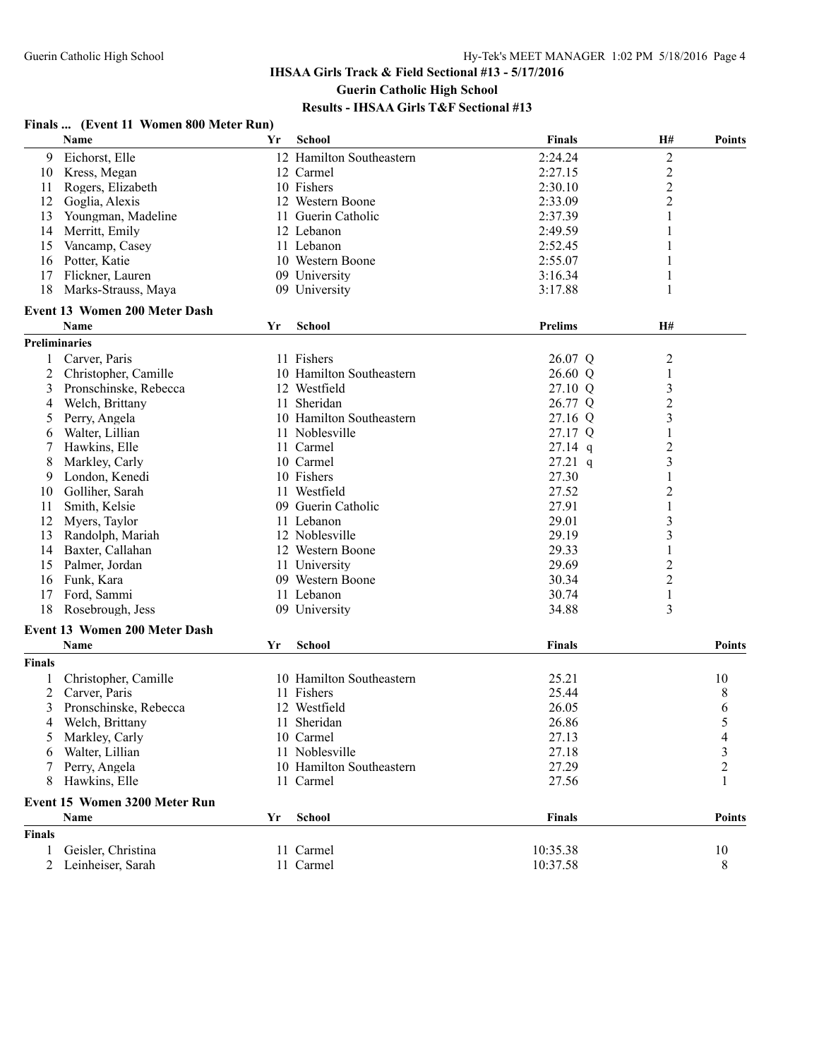# **Finals ... (Event 11 Women 800 Meter Run)**

|               | Name                                 | Yr | <b>School</b>            | <b>Finals</b>  | <b>H#</b>               | <b>Points</b>           |
|---------------|--------------------------------------|----|--------------------------|----------------|-------------------------|-------------------------|
| 9             | Eichorst, Elle                       |    | 12 Hamilton Southeastern | 2:24.24        | $\overline{2}$          |                         |
| 10            | Kress, Megan                         |    | 12 Carmel                | 2:27.15        | $\boldsymbol{2}$        |                         |
| 11            | Rogers, Elizabeth                    |    | 10 Fishers               | 2:30.10        | $\overline{2}$          |                         |
| 12            | Goglia, Alexis                       |    | 12 Western Boone         | 2:33.09        | $\overline{2}$          |                         |
| 13            | Youngman, Madeline                   |    | 11 Guerin Catholic       | 2:37.39        | 1                       |                         |
| 14            | Merritt, Emily                       |    | 12 Lebanon               | 2:49.59        | 1                       |                         |
| 15            | Vancamp, Casey                       |    | 11 Lebanon               | 2:52.45        | 1                       |                         |
| 16            | Potter, Katie                        |    | 10 Western Boone         | 2:55.07        | 1                       |                         |
| 17            | Flickner, Lauren                     |    | 09 University            | 3:16.34        | 1                       |                         |
| 18            | Marks-Strauss, Maya                  |    | 09 University            | 3:17.88        | 1                       |                         |
|               | <b>Event 13 Women 200 Meter Dash</b> |    |                          |                |                         |                         |
|               | Name                                 | Yr | School                   | <b>Prelims</b> | H#                      |                         |
|               | <b>Preliminaries</b>                 |    |                          |                |                         |                         |
|               | Carver, Paris                        |    | 11 Fishers               | 26.07 Q        | $\overline{2}$          |                         |
| 2             | Christopher, Camille                 |    | 10 Hamilton Southeastern | 26.60 Q        | $\mathbf{1}$            |                         |
| 3             | Pronschinske, Rebecca                |    | 12 Westfield             | 27.10 Q        | $\mathfrak{Z}$          |                         |
| 4             | Welch, Brittany                      |    | 11 Sheridan              | 26.77 Q        | $\overline{c}$          |                         |
| 5             | Perry, Angela                        |    | 10 Hamilton Southeastern | 27.16 Q        | 3                       |                         |
| 6             | Walter, Lillian                      |    | 11 Noblesville           | 27.17 Q        | 1                       |                         |
| 7             | Hawkins, Elle                        |    | 11 Carmel                | $27.14$ q      | $\overline{2}$          |                         |
| 8             | Markley, Carly                       |    | 10 Carmel                | $27.21$ q      | $\mathfrak{Z}$          |                         |
|               | London, Kenedi                       |    | 10 Fishers               | 27.30          | $\mathbf{1}$            |                         |
| 9<br>10       | Golliher, Sarah                      |    | 11 Westfield             | 27.52          | 2                       |                         |
|               | Smith, Kelsie                        |    |                          | 27.91          | 1                       |                         |
| 11            |                                      |    | 09 Guerin Catholic       |                |                         |                         |
| 12            | Myers, Taylor                        |    | 11 Lebanon               | 29.01          | 3                       |                         |
| 13            | Randolph, Mariah                     |    | 12 Noblesville           | 29.19          | $\overline{\mathbf{3}}$ |                         |
| 14            | Baxter, Callahan                     |    | 12 Western Boone         | 29.33          | $\mathbf{1}$            |                         |
| 15            | Palmer, Jordan                       |    | 11 University            | 29.69          | $\overline{c}$          |                         |
| 16            | Funk, Kara                           |    | 09 Western Boone         | 30.34          | $\overline{2}$          |                         |
| 17            | Ford, Sammi                          |    | 11 Lebanon               | 30.74          | 1                       |                         |
| 18            | Rosebrough, Jess                     |    | 09 University            | 34.88          | 3                       |                         |
|               | <b>Event 13 Women 200 Meter Dash</b> |    |                          |                |                         |                         |
|               | Name                                 | Yr | School                   | <b>Finals</b>  |                         | <b>Points</b>           |
| <b>Finals</b> |                                      |    |                          |                |                         |                         |
|               | Christopher, Camille                 |    | 10 Hamilton Southeastern | 25.21          |                         | 10                      |
| 2             | Carver, Paris                        |    | 11 Fishers               | 25.44          |                         | 8                       |
| 3             | Pronschinske, Rebecca                |    | 12 Westfield             | 26.05          |                         | 6                       |
| 4             | Welch, Brittany                      |    | 11 Sheridan              | 26.86          |                         | 5                       |
| C             | Markley, Carly                       |    | 10 Carmel                | 27.13          |                         | 4                       |
| 6             | Walter, Lillian                      |    | 11 Noblesville           | 27.18          |                         | $\overline{\mathbf{3}}$ |
|               | Perry, Angela                        |    | 10 Hamilton Southeastern | 27.29          |                         | $\overline{c}$          |
| 8             | Hawkins, Elle                        |    | 11 Carmel                | 27.56          |                         | 1                       |
|               | Event 15 Women 3200 Meter Run        |    |                          |                |                         |                         |
|               | Name                                 | Yr | <b>School</b>            | <b>Finals</b>  |                         | <b>Points</b>           |
| <b>Finals</b> |                                      |    |                          |                |                         |                         |
| 1             | Geisler, Christina                   |    | 11 Carmel                | 10:35.38       |                         | 10                      |
| 2             | Leinheiser, Sarah                    |    | 11 Carmel                | 10:37.58       |                         | 8                       |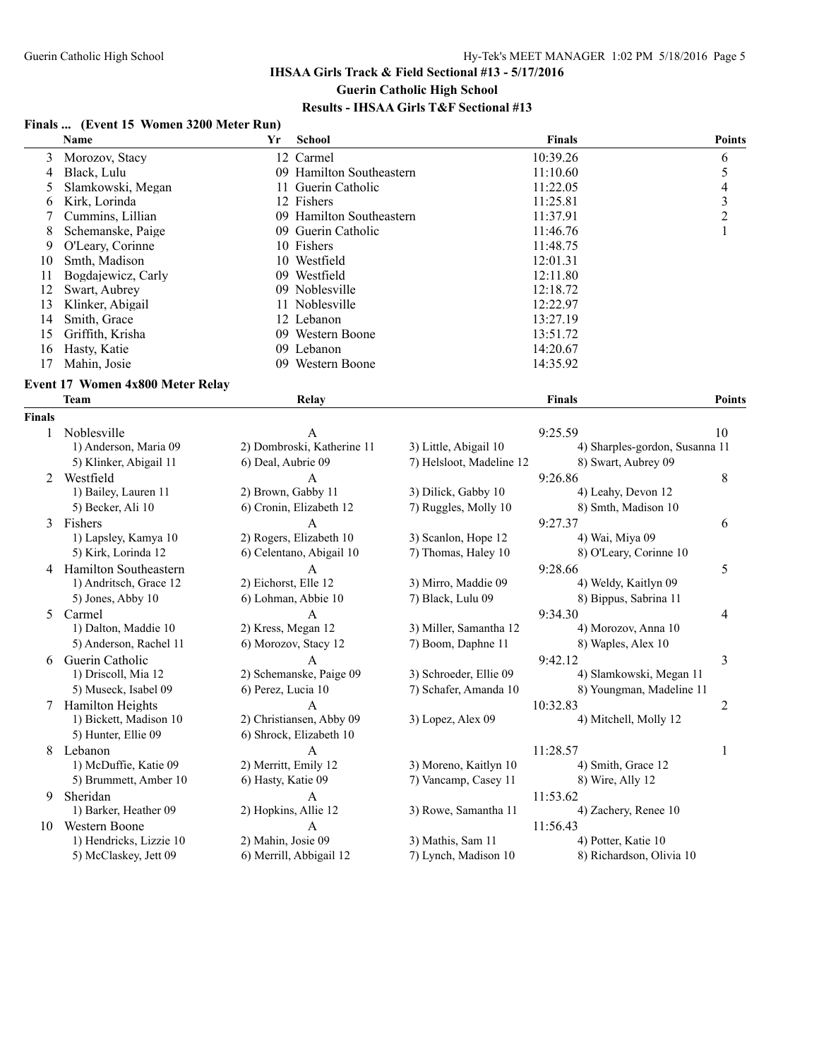#### **Finals ... (Event 15 Women 3200 Meter Run)**

|        | <b>Name</b>                       | Yr                   | School                     |                          | <b>Finals</b> |                                | Points                   |
|--------|-----------------------------------|----------------------|----------------------------|--------------------------|---------------|--------------------------------|--------------------------|
| 3      | Morozov, Stacy                    |                      | 12 Carmel                  |                          | 10:39.26      |                                | 6                        |
| 4      | Black, Lulu                       |                      | 09 Hamilton Southeastern   |                          | 11:10.60      |                                | 5                        |
| 5      | Slamkowski, Megan                 |                      | 11 Guerin Catholic         |                          | 11:22.05      |                                | $\overline{\mathcal{L}}$ |
| 6      | Kirk, Lorinda                     |                      | 12 Fishers                 |                          | 11:25.81      |                                | $\mathfrak{Z}$           |
| 7      | Cummins, Lillian                  |                      | 09 Hamilton Southeastern   |                          | 11:37.91      |                                | $\overline{c}$           |
| 8      | Schemanske, Paige                 |                      | 09 Guerin Catholic         |                          | 11:46.76      |                                | 1                        |
| 9      | O'Leary, Corinne                  |                      | 10 Fishers                 |                          | 11:48.75      |                                |                          |
| 10     | Smth, Madison                     |                      | 10 Westfield               |                          | 12:01.31      |                                |                          |
| 11     | Bogdajewicz, Carly                |                      | 09 Westfield               |                          | 12:11.80      |                                |                          |
| 12     | Swart, Aubrey                     |                      | 09 Noblesville             |                          | 12:18.72      |                                |                          |
| 13     | Klinker, Abigail                  |                      | 11 Noblesville             |                          | 12:22.97      |                                |                          |
| 14     | Smith, Grace                      |                      | 12 Lebanon                 |                          | 13:27.19      |                                |                          |
| 15     | Griffith, Krisha                  |                      | 09 Western Boone           |                          | 13:51.72      |                                |                          |
| 16     | Hasty, Katie                      |                      | 09 Lebanon                 |                          | 14:20.67      |                                |                          |
| 17     | Mahin, Josie                      |                      | 09 Western Boone           |                          | 14:35.92      |                                |                          |
|        |                                   |                      |                            |                          |               |                                |                          |
|        | Event 17 Women 4x800 Meter Relay  |                      |                            |                          |               |                                |                          |
|        | <b>Team</b>                       |                      | Relay                      |                          | <b>Finals</b> |                                | Points                   |
| Finals |                                   |                      |                            |                          |               |                                |                          |
| 1      | Noblesville                       |                      | A                          |                          | 9:25.59       |                                | 10                       |
|        | 1) Anderson, Maria 09             |                      | 2) Dombroski, Katherine 11 | 3) Little, Abigail 10    |               | 4) Sharples-gordon, Susanna 11 |                          |
|        | 5) Klinker, Abigail 11            | 6) Deal, Aubrie 09   |                            | 7) Helsloot, Madeline 12 |               | 8) Swart, Aubrey 09            |                          |
| 2      | Westfield                         |                      | А                          |                          | 9:26.86       |                                | 8                        |
|        | 1) Bailey, Lauren 11              | 2) Brown, Gabby 11   |                            | 3) Dilick, Gabby 10      |               | 4) Leahy, Devon 12             |                          |
|        | 5) Becker, Ali 10                 |                      | 6) Cronin, Elizabeth 12    | 7) Ruggles, Molly 10     |               | 8) Smth, Madison 10            |                          |
| 3      | Fishers                           |                      | A                          |                          | 9:27.37       |                                | 6                        |
|        | 1) Lapsley, Kamya 10              |                      | 2) Rogers, Elizabeth 10    | 3) Scanlon, Hope 12      |               | 4) Wai, Miya 09                |                          |
|        | 5) Kirk, Lorinda 12               |                      | 6) Celentano, Abigail 10   | 7) Thomas, Haley 10      |               | 8) O'Leary, Corinne 10         |                          |
| 4      | Hamilton Southeastern             |                      | $\overline{A}$             |                          | 9:28.66       |                                | 5                        |
|        | 1) Andritsch, Grace 12            | 2) Eichorst, Elle 12 |                            | 3) Mirro, Maddie 09      |               | 4) Weldy, Kaitlyn 09           |                          |
|        | 5) Jones, Abby 10                 |                      | 6) Lohman, Abbie 10        | 7) Black, Lulu 09        |               | 8) Bippus, Sabrina 11          |                          |
| 5      | Carmel                            |                      | A                          |                          | 9:34.30       |                                | 4                        |
|        | 1) Dalton, Maddie 10              | 2) Kress, Megan 12   |                            | 3) Miller, Samantha 12   |               | 4) Morozov, Anna 10            |                          |
|        | 5) Anderson, Rachel 11            |                      | 6) Morozov, Stacy 12       | 7) Boom, Daphne 11       |               | 8) Waples, Alex 10             |                          |
| 6      | Guerin Catholic                   |                      | A                          |                          | 9:42.12       |                                | 3                        |
|        | 1) Driscoll, Mia 12               |                      | 2) Schemanske, Paige 09    | 3) Schroeder, Ellie 09   |               | 4) Slamkowski, Megan 11        |                          |
|        | 5) Museck, Isabel 09              | 6) Perez, Lucia 10   |                            | 7) Schafer, Amanda 10    |               | 8) Youngman, Madeline 11       |                          |
| 7      | Hamilton Heights                  |                      | A                          |                          | 10:32.83      |                                | $\overline{c}$           |
|        | 1) Bickett, Madison 10            |                      | 2) Christiansen, Abby 09   | 3) Lopez, Alex 09        |               | 4) Mitchell, Molly 12          |                          |
|        | 5) Hunter, Ellie 09               |                      | 6) Shrock, Elizabeth 10    |                          |               |                                |                          |
|        | 8 Lebanon                         |                      | A                          |                          | 11:28.57      |                                | 1                        |
|        | 1) McDuffie, Katie 09             | 2) Merritt, Emily 12 |                            | 3) Moreno, Kaitlyn 10    |               | 4) Smith, Grace 12             |                          |
|        | 5) Brummett, Amber 10             | 6) Hasty, Katie 09   |                            | 7) Vancamp, Casey 11     |               | 8) Wire, Ally 12               |                          |
|        |                                   |                      |                            |                          |               |                                |                          |
| 9      | Sheridan<br>1) Barker, Heather 09 | 2) Hopkins, Allie 12 | A                          |                          | 11:53.62      | 4) Zachery, Renee 10           |                          |
|        |                                   |                      |                            | 3) Rowe, Samantha 11     |               |                                |                          |
| 10     | Western Boone                     |                      | $\mathbf{A}$               |                          | 11:56.43      |                                |                          |
|        | 1) Hendricks, Lizzie 10           | 2) Mahin, Josie 09   |                            | 3) Mathis, Sam 11        |               | 4) Potter, Katie 10            |                          |
|        | 5) McClaskey, Jett 09             |                      | 6) Merrill, Abbigail 12    | 7) Lynch, Madison 10     |               | 8) Richardson, Olivia 10       |                          |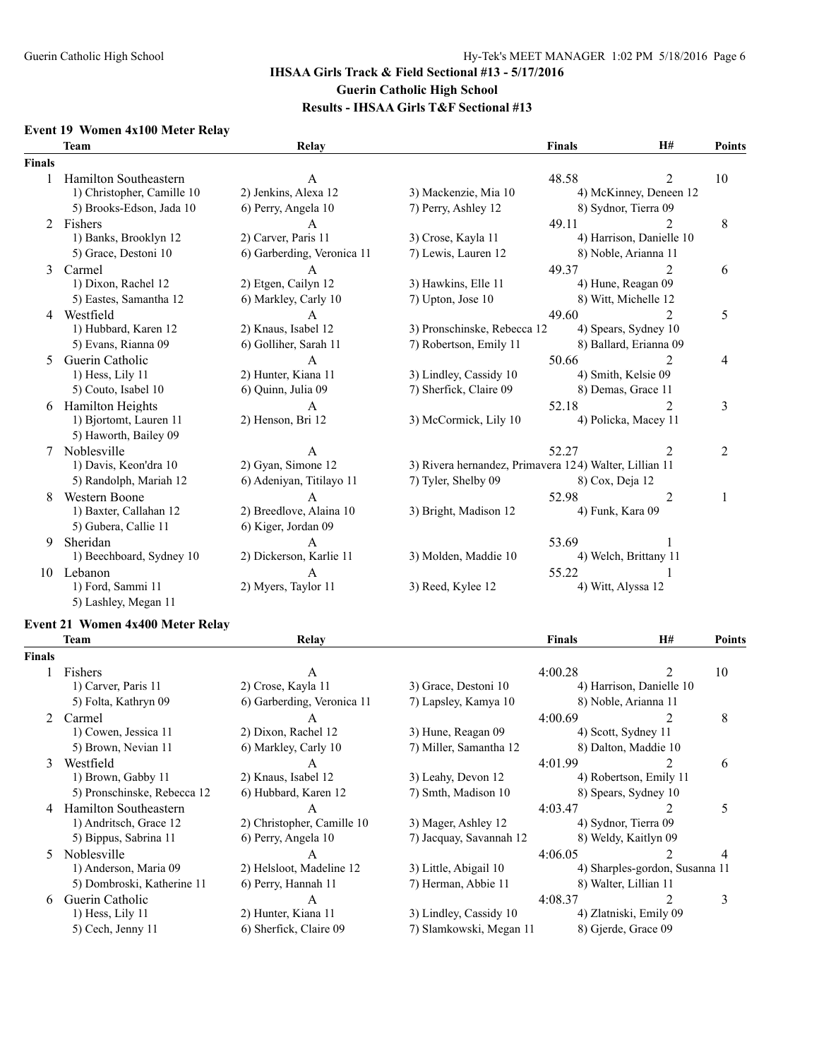#### **Event 19 Women 4x100 Meter Relay**

|        | <b>Team</b>                                         | Relay                      |                                                        | <b>Finals</b>    | H#                          | Points         |
|--------|-----------------------------------------------------|----------------------------|--------------------------------------------------------|------------------|-----------------------------|----------------|
| Finals |                                                     |                            |                                                        |                  |                             |                |
|        | Hamilton Southeastern<br>1) Christopher, Camille 10 | A<br>2) Jenkins, Alexa 12  | 3) Mackenzie, Mia 10                                   | 48.58            | 2<br>4) McKinney, Deneen 12 | 10             |
|        | 5) Brooks-Edson, Jada 10                            | 6) Perry, Angela 10        | 7) Perry, Ashley 12                                    |                  | 8) Sydnor, Tierra 09        |                |
| 2      | Fishers                                             | A                          |                                                        | 49.11            |                             | 8              |
|        | 1) Banks, Brooklyn 12                               | 2) Carver, Paris 11        | 3) Crose, Kayla 11                                     |                  | 4) Harrison, Danielle 10    |                |
|        | 5) Grace, Destoni 10                                | 6) Garberding, Veronica 11 | 7) Lewis, Lauren 12                                    |                  | 8) Noble, Arianna 11        |                |
| 3      | Carmel                                              | A                          |                                                        | 49.37            | $\mathfrak{D}$              | 6              |
|        | 1) Dixon, Rachel 12                                 | 2) Etgen, Cailyn 12        | 3) Hawkins, Elle 11                                    |                  | 4) Hune, Reagan 09          |                |
|        | 5) Eastes, Samantha 12                              | 6) Markley, Carly 10       | 7) Upton, Jose 10                                      |                  | 8) Witt, Michelle 12        |                |
| 4      | Westfield                                           | A                          |                                                        | 49.60            | 2                           | 5              |
|        | 1) Hubbard, Karen 12                                | 2) Knaus, Isabel 12        | 3) Pronschinske, Rebecca 12                            |                  | 4) Spears, Sydney 10        |                |
|        | 5) Evans, Rianna 09                                 | 6) Golliher, Sarah 11      | 7) Robertson, Emily 11                                 |                  | 8) Ballard, Erianna 09      |                |
| 5      | Guerin Catholic                                     | A                          |                                                        | 50.66            | 2                           | $\overline{4}$ |
|        | 1) Hess, Lily 11                                    | 2) Hunter, Kiana 11        | 3) Lindley, Cassidy 10                                 |                  | 4) Smith, Kelsie 09         |                |
|        | 5) Couto, Isabel 10                                 | 6) Ouinn, Julia 09         | 7) Sherfick, Claire 09                                 |                  | 8) Demas, Grace 11          |                |
| 6      | Hamilton Heights                                    | A                          |                                                        | 52.18            | 2                           | 3              |
|        | 1) Bjortomt, Lauren 11<br>5) Haworth, Bailey 09     | 2) Henson, Bri 12          | 3) McCormick, Lily 10                                  |                  | 4) Policka, Macey 11        |                |
| 7      | Noblesville                                         | A                          |                                                        | 52.27            | 2                           | 2              |
|        | 1) Davis, Keon'dra 10                               | 2) Gyan, Simone 12         | 3) Rivera hernandez, Primavera 124) Walter, Lillian 11 |                  |                             |                |
|        | 5) Randolph, Mariah 12                              | 6) Adeniyan, Titilayo 11   | 7) Tyler, Shelby 09                                    | 8) Cox, Deja 12  |                             |                |
| 8      | <b>Western Boone</b>                                | A                          |                                                        | 52.98            | $\overline{2}$              | 1              |
|        | 1) Baxter, Callahan 12                              | 2) Breedlove, Alaina 10    | 3) Bright, Madison 12                                  | 4) Funk, Kara 09 |                             |                |
|        | 5) Gubera, Callie 11                                | 6) Kiger, Jordan 09        |                                                        |                  |                             |                |
| 9      | Sheridan                                            | $\mathsf{A}$               |                                                        | 53.69            |                             |                |
|        | 1) Beechboard, Sydney 10                            | 2) Dickerson, Karlie 11    | 3) Molden, Maddie 10                                   |                  | 4) Welch, Brittany 11       |                |
| 10     | Lebanon                                             | А                          |                                                        | 55.22            |                             |                |
|        | 1) Ford, Sammi 11<br>5) Lashley, Megan 11           | 2) Myers, Taylor 11        | 3) Reed, Kylee 12                                      |                  | 4) Witt, Alyssa 12          |                |

## **Event 21 Women 4x400 Meter Relay**

|                | Team                        | Relay                      |                         | <b>Finals</b>       | <b>H#</b>                      | Points |
|----------------|-----------------------------|----------------------------|-------------------------|---------------------|--------------------------------|--------|
| <b>Finals</b>  |                             |                            |                         |                     |                                |        |
|                | Fishers                     | A                          |                         | 4:00.28             |                                | 10     |
|                | 1) Carver, Paris 11         | 2) Crose, Kayla 11         | 3) Grace, Destoni 10    |                     | 4) Harrison, Danielle 10       |        |
|                | 5) Folta, Kathryn 09        | 6) Garberding, Veronica 11 | 7) Lapsley, Kamya 10    |                     | 8) Noble, Arianna 11           |        |
| $\overline{2}$ | Carmel                      |                            |                         | 4:00.69             |                                | 8      |
|                | 1) Cowen, Jessica 11        | 2) Dixon, Rachel 12        | 3) Hune, Reagan 09      | 4) Scott, Sydney 11 |                                |        |
|                | 5) Brown, Nevian 11         | 6) Markley, Carly 10       | 7) Miller, Samantha 12  |                     | 8) Dalton, Maddie 10           |        |
| 3              | Westfield                   | A                          |                         | 4:01.99             |                                | 6      |
|                | 1) Brown, Gabby 11          | 2) Knaus, Isabel 12        | 3) Leahy, Devon 12      |                     | 4) Robertson, Emily 11         |        |
|                | 5) Pronschinske, Rebecca 12 | 6) Hubbard, Karen 12       | 7) Smth, Madison 10     |                     | 8) Spears, Sydney 10           |        |
| 4              | Hamilton Southeastern       |                            |                         | 4:03.47             |                                | 5      |
|                | 1) Andritsch, Grace 12      | 2) Christopher, Camille 10 | 3) Mager, Ashley 12     |                     | 4) Sydnor, Tierra 09           |        |
|                | 5) Bippus, Sabrina 11       | 6) Perry, Angela 10        | 7) Jacquay, Savannah 12 |                     | 8) Weldy, Kaitlyn 09           |        |
| 5              | Noblesville                 | A                          |                         | 4:06.05             |                                | 4      |
|                | 1) Anderson, Maria 09       | 2) Helsloot, Madeline 12   | 3) Little, Abigail 10   |                     | 4) Sharples-gordon, Susanna 11 |        |
|                | 5) Dombroski, Katherine 11  | 6) Perry, Hannah 11        | 7) Herman, Abbie 11     |                     | 8) Walter, Lillian 11          |        |
| 6              | Guerin Catholic             |                            |                         | 4:08.37             |                                | 3      |
|                | $1)$ Hess, Lily $11$        | 2) Hunter, Kiana 11        | 3) Lindley, Cassidy 10  |                     | 4) Zlatniski, Emily 09         |        |
|                | 5) Cech, Jenny 11           | 6) Sherfick, Claire 09     | 7) Slamkowski, Megan 11 |                     | 8) Gjerde, Grace 09            |        |
|                |                             |                            |                         |                     |                                |        |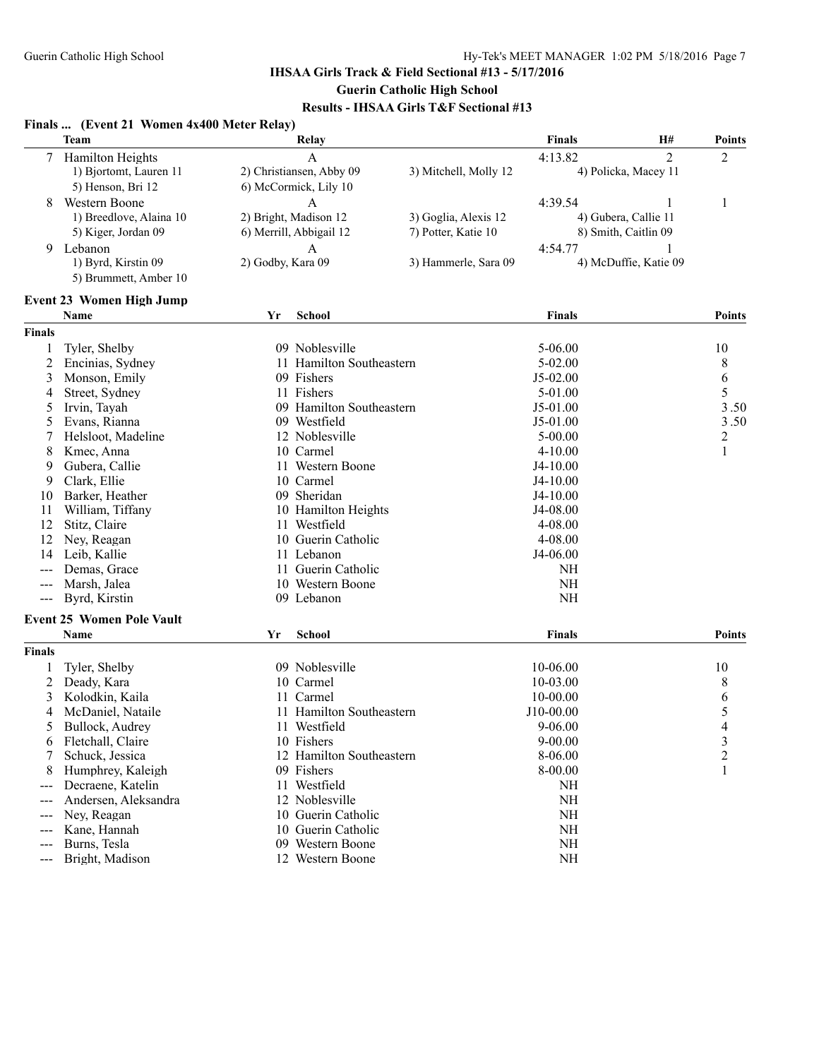|                   | Finals  (Event 21 Women 4x400 Meter Relay)                                           |                   |                                                                                |                                             |               |                                                   |                  |
|-------------------|--------------------------------------------------------------------------------------|-------------------|--------------------------------------------------------------------------------|---------------------------------------------|---------------|---------------------------------------------------|------------------|
|                   | <b>Team</b>                                                                          |                   | Relay                                                                          |                                             | <b>Finals</b> | H#                                                | <b>Points</b>    |
|                   | Hamilton Heights<br>1) Bjortomt, Lauren 11                                           |                   | $\mathbf{A}$<br>2) Christiansen, Abby 09                                       | 3) Mitchell, Molly 12                       | 4:13.82       | $\overline{2}$<br>4) Policka, Macey 11            | $\overline{2}$   |
| 8                 | 5) Henson, Bri 12<br>Western Boone<br>1) Breedlove, Alaina 10<br>5) Kiger, Jordan 09 |                   | 6) McCormick, Lily 10<br>A<br>2) Bright, Madison 12<br>6) Merrill, Abbigail 12 | 3) Goglia, Alexis 12<br>7) Potter, Katie 10 | 4:39.54       | 1<br>4) Gubera, Callie 11<br>8) Smith, Caitlin 09 | 1                |
|                   | 9 Lebanon<br>1) Byrd, Kirstin 09<br>5) Brummett, Amber 10                            | 2) Godby, Kara 09 | A                                                                              | 3) Hammerle, Sara 09                        | 4:54.77       | 4) McDuffie, Katie 09                             |                  |
|                   | <b>Event 23 Women High Jump</b>                                                      |                   |                                                                                |                                             |               |                                                   |                  |
|                   | Name                                                                                 | Yr                | <b>School</b>                                                                  |                                             | <b>Finals</b> |                                                   | <b>Points</b>    |
| <b>Finals</b>     |                                                                                      |                   |                                                                                |                                             |               |                                                   |                  |
| 1                 | Tyler, Shelby                                                                        |                   | 09 Noblesville                                                                 |                                             | $5 - 06.00$   |                                                   | 10               |
| 2                 | Encinias, Sydney                                                                     |                   | 11 Hamilton Southeastern                                                       |                                             | $5 - 02.00$   |                                                   | 8                |
| 3                 | Monson, Emily                                                                        |                   | 09 Fishers                                                                     |                                             | $J5-02.00$    |                                                   | $\boldsymbol{6}$ |
| 4                 | Street, Sydney                                                                       |                   | 11 Fishers                                                                     |                                             | 5-01.00       |                                                   | 5                |
| 5                 | Irvin, Tayah                                                                         |                   | 09 Hamilton Southeastern                                                       |                                             | J5-01.00      |                                                   | 3.50             |
| 5                 | Evans, Rianna                                                                        |                   | 09 Westfield                                                                   |                                             | J5-01.00      |                                                   | 3.50             |
| 7                 | Helsloot, Madeline                                                                   |                   | 12 Noblesville                                                                 |                                             | $5 - 00.00$   |                                                   | $\overline{c}$   |
| 8                 | Kmec, Anna                                                                           |                   | 10 Carmel                                                                      |                                             | $4 - 10.00$   |                                                   | 1                |
| 9                 | Gubera, Callie                                                                       |                   | 11 Western Boone                                                               |                                             | $J4-10.00$    |                                                   |                  |
| 9                 | Clark, Ellie                                                                         |                   | 10 Carmel                                                                      |                                             | $J4-10.00$    |                                                   |                  |
| 10                | Barker, Heather                                                                      |                   | 09 Sheridan                                                                    |                                             | $J4-10.00$    |                                                   |                  |
| 11                | William, Tiffany                                                                     |                   | 10 Hamilton Heights                                                            |                                             | J4-08.00      |                                                   |                  |
| 12                | Stitz, Claire                                                                        |                   | 11 Westfield                                                                   |                                             | 4-08.00       |                                                   |                  |
| 12                | Ney, Reagan                                                                          |                   | 10 Guerin Catholic                                                             |                                             | 4-08.00       |                                                   |                  |
| 14                | Leib, Kallie                                                                         |                   | 11 Lebanon                                                                     |                                             | J4-06.00      |                                                   |                  |
|                   | Demas, Grace                                                                         |                   | 11 Guerin Catholic                                                             |                                             | <b>NH</b>     |                                                   |                  |
|                   | Marsh, Jalea                                                                         |                   | 10 Western Boone                                                               |                                             | <b>NH</b>     |                                                   |                  |
| ---               | Byrd, Kirstin                                                                        |                   | 09 Lebanon                                                                     |                                             | <b>NH</b>     |                                                   |                  |
| $\qquad \qquad -$ |                                                                                      |                   |                                                                                |                                             |               |                                                   |                  |
|                   | <b>Event 25 Women Pole Vault</b>                                                     |                   |                                                                                |                                             |               |                                                   |                  |
|                   | Name                                                                                 | Yr                | School                                                                         |                                             | Finals        |                                                   | <b>Points</b>    |
| <b>Finals</b>     |                                                                                      |                   |                                                                                |                                             |               |                                                   |                  |
|                   | Tyler, Shelby                                                                        |                   | 09 Noblesville                                                                 |                                             | 10-06.00      |                                                   | 10               |
| 2                 | Deady, Kara                                                                          |                   | 10 Carmel                                                                      |                                             | 10-03.00      |                                                   | 8                |
| 3                 | Kolodkin, Kaila                                                                      | 11                | Carmel                                                                         |                                             | 10-00.00      |                                                   | 6                |
| 4                 | McDaniel, Nataile                                                                    |                   | 11 Hamilton Southeastern                                                       |                                             | J10-00.00     |                                                   | 5                |
| 5                 | Bullock, Audrey                                                                      |                   | 11 Westfield                                                                   |                                             | 9-06.00       |                                                   | 4                |
| 6                 | Fletchall, Claire                                                                    |                   | 10 Fishers                                                                     |                                             | $9 - 00.00$   |                                                   | 3                |
|                   | Schuck, Jessica                                                                      |                   | 12 Hamilton Southeastern                                                       |                                             | 8-06.00       |                                                   | 2                |
| 8                 | Humphrey, Kaleigh                                                                    |                   | 09 Fishers                                                                     |                                             | 8-00.00       |                                                   | 1                |
| $---$             | Decraene, Katelin                                                                    |                   | 11 Westfield                                                                   |                                             | <b>NH</b>     |                                                   |                  |
| $---$             | Andersen, Aleksandra                                                                 |                   | 12 Noblesville                                                                 |                                             | NH            |                                                   |                  |
| $---$             | Ney, Reagan                                                                          |                   | 10 Guerin Catholic                                                             |                                             | NH            |                                                   |                  |
| $---$             | Kane, Hannah                                                                         |                   | 10 Guerin Catholic                                                             |                                             | NH            |                                                   |                  |
| $---$             | Burns, Tesla                                                                         |                   | 09 Western Boone                                                               |                                             | NH            |                                                   |                  |
| ---               | Bright, Madison                                                                      |                   | 12 Western Boone                                                               |                                             | $\rm NH$      |                                                   |                  |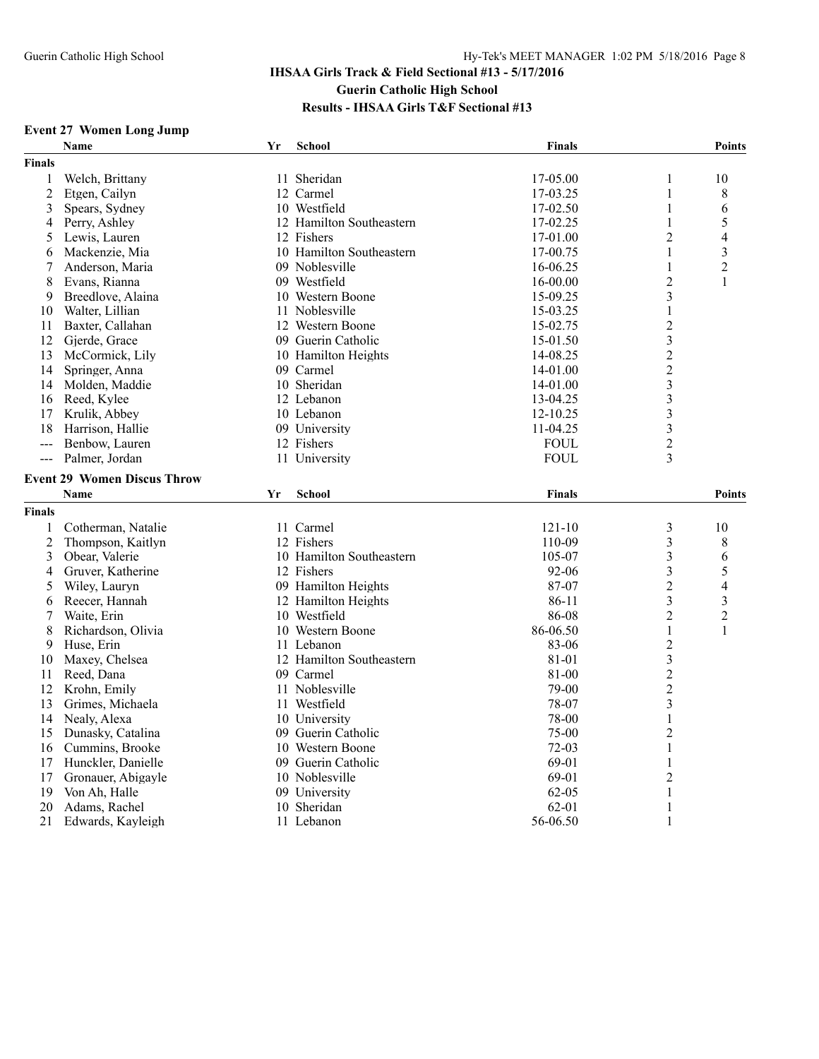## **Event 27 Women Long Jump**

| 17-05.00<br>Welch, Brittany<br>11 Sheridan<br>1<br>10<br>1<br>$\overline{2}$<br>$\mathbf{1}$<br>Etgen, Cailyn<br>12 Carmel<br>17-03.25<br>8<br>3<br>Spears, Sydney<br>10 Westfield<br>17-02.50<br>1<br>6<br>$\mathbf{1}$<br>5<br>Perry, Ashley<br>12 Hamilton Southeastern<br>17-02.25<br>4<br>12 Fishers<br>$\overline{2}$<br>Lewis, Lauren<br>17-01.00<br>4<br>5<br>3<br>Mackenzie, Mia<br>10 Hamilton Southeastern<br>1<br>17-00.75<br>6<br>$\overline{2}$<br>Anderson, Maria<br>09 Noblesville<br>16-06.25<br>1<br>7<br>09 Westfield<br>$\overline{c}$<br>8<br>Evans, Rianna<br>16-00.00<br>1<br>Breedlove, Alaina<br>$\mathfrak{Z}$<br>10 Western Boone<br>15-09.25<br>9<br>Walter, Lillian<br>11 Noblesville<br>10<br>15-03.25<br>1<br>$\overline{2}$<br>Baxter, Callahan<br>12 Western Boone<br>11<br>15-02.75<br>$\overline{\mathbf{3}}$<br>12<br>Gjerde, Grace<br>09 Guerin Catholic<br>15-01.50<br>$\overline{c}$<br>13<br>14-08.25<br>McCormick, Lily<br>10 Hamilton Heights<br>$\overline{c}$<br>Springer, Anna<br>09 Carmel<br>14<br>14-01.00<br>$\overline{\mathbf{3}}$<br>10 Sheridan<br>14<br>Molden, Maddie<br>14-01.00<br>$\overline{\mathbf{3}}$<br>12 Lebanon<br>16<br>Reed, Kylee<br>13-04.25<br>$\overline{\mathbf{3}}$<br>17<br>Krulik, Abbey<br>10 Lebanon<br>$12 - 10.25$<br>$\overline{\mathbf{3}}$<br>09 University<br>11-04.25<br>18<br>Harrison, Hallie<br>$\overline{c}$<br>12 Fishers<br>Benbow, Lauren<br><b>FOUL</b><br>---<br><b>FOUL</b><br>3<br>Palmer, Jordan<br>11 University<br>$\overline{a}$<br><b>Event 29 Women Discus Throw</b><br><b>Name</b><br><b>School</b><br><b>Finals</b><br><b>Points</b><br>Yr<br><b>Finals</b><br>11 Carmel<br>$\mathfrak{Z}$<br>Cotherman, Natalie<br>121-10<br>10<br>1<br>$\overline{\mathbf{3}}$<br>$\overline{2}$<br>12 Fishers<br>110-09<br>8<br>Thompson, Kaitlyn<br>$\overline{3}$<br>Obear, Valerie<br>10 Hamilton Southeastern<br>3<br>105-07<br>6<br>$\overline{\mathbf{3}}$<br>5<br>Gruver, Katherine<br>12 Fishers<br>92-06<br>4<br>$\overline{c}$<br>09 Hamilton Heights<br>87-07<br>Wiley, Lauryn<br>4<br>5<br>3<br>Reecer, Hannah<br>12 Hamilton Heights<br>86-11<br>3<br>6<br>$\overline{2}$<br>$\overline{2}$<br>Waite, Erin<br>10 Westfield<br>86-08<br>7<br>86-06.50<br>$\mathbf{1}$<br>8<br>Richardson, Olivia<br>10 Western Boone<br>1<br>83-06<br>$\overline{c}$<br>9<br>Huse, Erin<br>11 Lebanon<br>$\overline{\mathbf{3}}$<br>Maxey, Chelsea<br>12 Hamilton Southeastern<br>81-01<br>10<br>$\overline{2}$<br>09 Carmel<br>81-00<br>11<br>Reed, Dana<br>$\overline{2}$<br>12<br>Krohn, Emily<br>11 Noblesville<br>79-00<br>78-07<br>3<br>13<br>Grimes, Michaela<br>11 Westfield<br>$\mathbf{1}$<br>Nealy, Alexa<br>10 University<br>78-00<br>14<br>75-00<br>$\overline{2}$<br>15<br>Dunasky, Catalina<br>09 Guerin Catholic<br>72-03<br>16<br>Cummins, Brooke<br>10 Western Boone<br>1<br>69-01<br>17<br>Hunckler, Danielle<br>09 Guerin Catholic<br>1<br>69-01<br>$\overline{2}$<br>17<br>Gronauer, Abigayle<br>10 Noblesville<br>Von Ah, Halle<br>09 University<br>$62 - 05$<br>$\,1\,$<br>19<br>10 Sheridan<br>20<br>Adams, Rachel<br>$62 - 01$<br>1 |               | <b>Name</b>       | Yr | <b>School</b> | <b>Finals</b> |              | <b>Points</b> |
|------------------------------------------------------------------------------------------------------------------------------------------------------------------------------------------------------------------------------------------------------------------------------------------------------------------------------------------------------------------------------------------------------------------------------------------------------------------------------------------------------------------------------------------------------------------------------------------------------------------------------------------------------------------------------------------------------------------------------------------------------------------------------------------------------------------------------------------------------------------------------------------------------------------------------------------------------------------------------------------------------------------------------------------------------------------------------------------------------------------------------------------------------------------------------------------------------------------------------------------------------------------------------------------------------------------------------------------------------------------------------------------------------------------------------------------------------------------------------------------------------------------------------------------------------------------------------------------------------------------------------------------------------------------------------------------------------------------------------------------------------------------------------------------------------------------------------------------------------------------------------------------------------------------------------------------------------------------------------------------------------------------------------------------------------------------------------------------------------------------------------------------------------------------------------------------------------------------------------------------------------------------------------------------------------------------------------------------------------------------------------------------------------------------------------------------------------------------------------------------------------------------------------------------------------------------------------------------------------------------------------------------------------------------------------------------------------------------------------------------------------------------------------------------------------------------------------------------------------------------------------------------------------------------------------------------------------------------------------------------------------------------------------------------------------------------------------------------------------------------------------------------------------|---------------|-------------------|----|---------------|---------------|--------------|---------------|
|                                                                                                                                                                                                                                                                                                                                                                                                                                                                                                                                                                                                                                                                                                                                                                                                                                                                                                                                                                                                                                                                                                                                                                                                                                                                                                                                                                                                                                                                                                                                                                                                                                                                                                                                                                                                                                                                                                                                                                                                                                                                                                                                                                                                                                                                                                                                                                                                                                                                                                                                                                                                                                                                                                                                                                                                                                                                                                                                                                                                                                                                                                                                                      | <b>Finals</b> |                   |    |               |               |              |               |
|                                                                                                                                                                                                                                                                                                                                                                                                                                                                                                                                                                                                                                                                                                                                                                                                                                                                                                                                                                                                                                                                                                                                                                                                                                                                                                                                                                                                                                                                                                                                                                                                                                                                                                                                                                                                                                                                                                                                                                                                                                                                                                                                                                                                                                                                                                                                                                                                                                                                                                                                                                                                                                                                                                                                                                                                                                                                                                                                                                                                                                                                                                                                                      |               |                   |    |               |               |              |               |
|                                                                                                                                                                                                                                                                                                                                                                                                                                                                                                                                                                                                                                                                                                                                                                                                                                                                                                                                                                                                                                                                                                                                                                                                                                                                                                                                                                                                                                                                                                                                                                                                                                                                                                                                                                                                                                                                                                                                                                                                                                                                                                                                                                                                                                                                                                                                                                                                                                                                                                                                                                                                                                                                                                                                                                                                                                                                                                                                                                                                                                                                                                                                                      |               |                   |    |               |               |              |               |
|                                                                                                                                                                                                                                                                                                                                                                                                                                                                                                                                                                                                                                                                                                                                                                                                                                                                                                                                                                                                                                                                                                                                                                                                                                                                                                                                                                                                                                                                                                                                                                                                                                                                                                                                                                                                                                                                                                                                                                                                                                                                                                                                                                                                                                                                                                                                                                                                                                                                                                                                                                                                                                                                                                                                                                                                                                                                                                                                                                                                                                                                                                                                                      |               |                   |    |               |               |              |               |
|                                                                                                                                                                                                                                                                                                                                                                                                                                                                                                                                                                                                                                                                                                                                                                                                                                                                                                                                                                                                                                                                                                                                                                                                                                                                                                                                                                                                                                                                                                                                                                                                                                                                                                                                                                                                                                                                                                                                                                                                                                                                                                                                                                                                                                                                                                                                                                                                                                                                                                                                                                                                                                                                                                                                                                                                                                                                                                                                                                                                                                                                                                                                                      |               |                   |    |               |               |              |               |
|                                                                                                                                                                                                                                                                                                                                                                                                                                                                                                                                                                                                                                                                                                                                                                                                                                                                                                                                                                                                                                                                                                                                                                                                                                                                                                                                                                                                                                                                                                                                                                                                                                                                                                                                                                                                                                                                                                                                                                                                                                                                                                                                                                                                                                                                                                                                                                                                                                                                                                                                                                                                                                                                                                                                                                                                                                                                                                                                                                                                                                                                                                                                                      |               |                   |    |               |               |              |               |
|                                                                                                                                                                                                                                                                                                                                                                                                                                                                                                                                                                                                                                                                                                                                                                                                                                                                                                                                                                                                                                                                                                                                                                                                                                                                                                                                                                                                                                                                                                                                                                                                                                                                                                                                                                                                                                                                                                                                                                                                                                                                                                                                                                                                                                                                                                                                                                                                                                                                                                                                                                                                                                                                                                                                                                                                                                                                                                                                                                                                                                                                                                                                                      |               |                   |    |               |               |              |               |
|                                                                                                                                                                                                                                                                                                                                                                                                                                                                                                                                                                                                                                                                                                                                                                                                                                                                                                                                                                                                                                                                                                                                                                                                                                                                                                                                                                                                                                                                                                                                                                                                                                                                                                                                                                                                                                                                                                                                                                                                                                                                                                                                                                                                                                                                                                                                                                                                                                                                                                                                                                                                                                                                                                                                                                                                                                                                                                                                                                                                                                                                                                                                                      |               |                   |    |               |               |              |               |
|                                                                                                                                                                                                                                                                                                                                                                                                                                                                                                                                                                                                                                                                                                                                                                                                                                                                                                                                                                                                                                                                                                                                                                                                                                                                                                                                                                                                                                                                                                                                                                                                                                                                                                                                                                                                                                                                                                                                                                                                                                                                                                                                                                                                                                                                                                                                                                                                                                                                                                                                                                                                                                                                                                                                                                                                                                                                                                                                                                                                                                                                                                                                                      |               |                   |    |               |               |              |               |
|                                                                                                                                                                                                                                                                                                                                                                                                                                                                                                                                                                                                                                                                                                                                                                                                                                                                                                                                                                                                                                                                                                                                                                                                                                                                                                                                                                                                                                                                                                                                                                                                                                                                                                                                                                                                                                                                                                                                                                                                                                                                                                                                                                                                                                                                                                                                                                                                                                                                                                                                                                                                                                                                                                                                                                                                                                                                                                                                                                                                                                                                                                                                                      |               |                   |    |               |               |              |               |
|                                                                                                                                                                                                                                                                                                                                                                                                                                                                                                                                                                                                                                                                                                                                                                                                                                                                                                                                                                                                                                                                                                                                                                                                                                                                                                                                                                                                                                                                                                                                                                                                                                                                                                                                                                                                                                                                                                                                                                                                                                                                                                                                                                                                                                                                                                                                                                                                                                                                                                                                                                                                                                                                                                                                                                                                                                                                                                                                                                                                                                                                                                                                                      |               |                   |    |               |               |              |               |
|                                                                                                                                                                                                                                                                                                                                                                                                                                                                                                                                                                                                                                                                                                                                                                                                                                                                                                                                                                                                                                                                                                                                                                                                                                                                                                                                                                                                                                                                                                                                                                                                                                                                                                                                                                                                                                                                                                                                                                                                                                                                                                                                                                                                                                                                                                                                                                                                                                                                                                                                                                                                                                                                                                                                                                                                                                                                                                                                                                                                                                                                                                                                                      |               |                   |    |               |               |              |               |
|                                                                                                                                                                                                                                                                                                                                                                                                                                                                                                                                                                                                                                                                                                                                                                                                                                                                                                                                                                                                                                                                                                                                                                                                                                                                                                                                                                                                                                                                                                                                                                                                                                                                                                                                                                                                                                                                                                                                                                                                                                                                                                                                                                                                                                                                                                                                                                                                                                                                                                                                                                                                                                                                                                                                                                                                                                                                                                                                                                                                                                                                                                                                                      |               |                   |    |               |               |              |               |
|                                                                                                                                                                                                                                                                                                                                                                                                                                                                                                                                                                                                                                                                                                                                                                                                                                                                                                                                                                                                                                                                                                                                                                                                                                                                                                                                                                                                                                                                                                                                                                                                                                                                                                                                                                                                                                                                                                                                                                                                                                                                                                                                                                                                                                                                                                                                                                                                                                                                                                                                                                                                                                                                                                                                                                                                                                                                                                                                                                                                                                                                                                                                                      |               |                   |    |               |               |              |               |
|                                                                                                                                                                                                                                                                                                                                                                                                                                                                                                                                                                                                                                                                                                                                                                                                                                                                                                                                                                                                                                                                                                                                                                                                                                                                                                                                                                                                                                                                                                                                                                                                                                                                                                                                                                                                                                                                                                                                                                                                                                                                                                                                                                                                                                                                                                                                                                                                                                                                                                                                                                                                                                                                                                                                                                                                                                                                                                                                                                                                                                                                                                                                                      |               |                   |    |               |               |              |               |
|                                                                                                                                                                                                                                                                                                                                                                                                                                                                                                                                                                                                                                                                                                                                                                                                                                                                                                                                                                                                                                                                                                                                                                                                                                                                                                                                                                                                                                                                                                                                                                                                                                                                                                                                                                                                                                                                                                                                                                                                                                                                                                                                                                                                                                                                                                                                                                                                                                                                                                                                                                                                                                                                                                                                                                                                                                                                                                                                                                                                                                                                                                                                                      |               |                   |    |               |               |              |               |
|                                                                                                                                                                                                                                                                                                                                                                                                                                                                                                                                                                                                                                                                                                                                                                                                                                                                                                                                                                                                                                                                                                                                                                                                                                                                                                                                                                                                                                                                                                                                                                                                                                                                                                                                                                                                                                                                                                                                                                                                                                                                                                                                                                                                                                                                                                                                                                                                                                                                                                                                                                                                                                                                                                                                                                                                                                                                                                                                                                                                                                                                                                                                                      |               |                   |    |               |               |              |               |
|                                                                                                                                                                                                                                                                                                                                                                                                                                                                                                                                                                                                                                                                                                                                                                                                                                                                                                                                                                                                                                                                                                                                                                                                                                                                                                                                                                                                                                                                                                                                                                                                                                                                                                                                                                                                                                                                                                                                                                                                                                                                                                                                                                                                                                                                                                                                                                                                                                                                                                                                                                                                                                                                                                                                                                                                                                                                                                                                                                                                                                                                                                                                                      |               |                   |    |               |               |              |               |
|                                                                                                                                                                                                                                                                                                                                                                                                                                                                                                                                                                                                                                                                                                                                                                                                                                                                                                                                                                                                                                                                                                                                                                                                                                                                                                                                                                                                                                                                                                                                                                                                                                                                                                                                                                                                                                                                                                                                                                                                                                                                                                                                                                                                                                                                                                                                                                                                                                                                                                                                                                                                                                                                                                                                                                                                                                                                                                                                                                                                                                                                                                                                                      |               |                   |    |               |               |              |               |
|                                                                                                                                                                                                                                                                                                                                                                                                                                                                                                                                                                                                                                                                                                                                                                                                                                                                                                                                                                                                                                                                                                                                                                                                                                                                                                                                                                                                                                                                                                                                                                                                                                                                                                                                                                                                                                                                                                                                                                                                                                                                                                                                                                                                                                                                                                                                                                                                                                                                                                                                                                                                                                                                                                                                                                                                                                                                                                                                                                                                                                                                                                                                                      |               |                   |    |               |               |              |               |
|                                                                                                                                                                                                                                                                                                                                                                                                                                                                                                                                                                                                                                                                                                                                                                                                                                                                                                                                                                                                                                                                                                                                                                                                                                                                                                                                                                                                                                                                                                                                                                                                                                                                                                                                                                                                                                                                                                                                                                                                                                                                                                                                                                                                                                                                                                                                                                                                                                                                                                                                                                                                                                                                                                                                                                                                                                                                                                                                                                                                                                                                                                                                                      |               |                   |    |               |               |              |               |
|                                                                                                                                                                                                                                                                                                                                                                                                                                                                                                                                                                                                                                                                                                                                                                                                                                                                                                                                                                                                                                                                                                                                                                                                                                                                                                                                                                                                                                                                                                                                                                                                                                                                                                                                                                                                                                                                                                                                                                                                                                                                                                                                                                                                                                                                                                                                                                                                                                                                                                                                                                                                                                                                                                                                                                                                                                                                                                                                                                                                                                                                                                                                                      |               |                   |    |               |               |              |               |
|                                                                                                                                                                                                                                                                                                                                                                                                                                                                                                                                                                                                                                                                                                                                                                                                                                                                                                                                                                                                                                                                                                                                                                                                                                                                                                                                                                                                                                                                                                                                                                                                                                                                                                                                                                                                                                                                                                                                                                                                                                                                                                                                                                                                                                                                                                                                                                                                                                                                                                                                                                                                                                                                                                                                                                                                                                                                                                                                                                                                                                                                                                                                                      |               |                   |    |               |               |              |               |
|                                                                                                                                                                                                                                                                                                                                                                                                                                                                                                                                                                                                                                                                                                                                                                                                                                                                                                                                                                                                                                                                                                                                                                                                                                                                                                                                                                                                                                                                                                                                                                                                                                                                                                                                                                                                                                                                                                                                                                                                                                                                                                                                                                                                                                                                                                                                                                                                                                                                                                                                                                                                                                                                                                                                                                                                                                                                                                                                                                                                                                                                                                                                                      |               |                   |    |               |               |              |               |
|                                                                                                                                                                                                                                                                                                                                                                                                                                                                                                                                                                                                                                                                                                                                                                                                                                                                                                                                                                                                                                                                                                                                                                                                                                                                                                                                                                                                                                                                                                                                                                                                                                                                                                                                                                                                                                                                                                                                                                                                                                                                                                                                                                                                                                                                                                                                                                                                                                                                                                                                                                                                                                                                                                                                                                                                                                                                                                                                                                                                                                                                                                                                                      |               |                   |    |               |               |              |               |
|                                                                                                                                                                                                                                                                                                                                                                                                                                                                                                                                                                                                                                                                                                                                                                                                                                                                                                                                                                                                                                                                                                                                                                                                                                                                                                                                                                                                                                                                                                                                                                                                                                                                                                                                                                                                                                                                                                                                                                                                                                                                                                                                                                                                                                                                                                                                                                                                                                                                                                                                                                                                                                                                                                                                                                                                                                                                                                                                                                                                                                                                                                                                                      |               |                   |    |               |               |              |               |
|                                                                                                                                                                                                                                                                                                                                                                                                                                                                                                                                                                                                                                                                                                                                                                                                                                                                                                                                                                                                                                                                                                                                                                                                                                                                                                                                                                                                                                                                                                                                                                                                                                                                                                                                                                                                                                                                                                                                                                                                                                                                                                                                                                                                                                                                                                                                                                                                                                                                                                                                                                                                                                                                                                                                                                                                                                                                                                                                                                                                                                                                                                                                                      |               |                   |    |               |               |              |               |
|                                                                                                                                                                                                                                                                                                                                                                                                                                                                                                                                                                                                                                                                                                                                                                                                                                                                                                                                                                                                                                                                                                                                                                                                                                                                                                                                                                                                                                                                                                                                                                                                                                                                                                                                                                                                                                                                                                                                                                                                                                                                                                                                                                                                                                                                                                                                                                                                                                                                                                                                                                                                                                                                                                                                                                                                                                                                                                                                                                                                                                                                                                                                                      |               |                   |    |               |               |              |               |
|                                                                                                                                                                                                                                                                                                                                                                                                                                                                                                                                                                                                                                                                                                                                                                                                                                                                                                                                                                                                                                                                                                                                                                                                                                                                                                                                                                                                                                                                                                                                                                                                                                                                                                                                                                                                                                                                                                                                                                                                                                                                                                                                                                                                                                                                                                                                                                                                                                                                                                                                                                                                                                                                                                                                                                                                                                                                                                                                                                                                                                                                                                                                                      |               |                   |    |               |               |              |               |
|                                                                                                                                                                                                                                                                                                                                                                                                                                                                                                                                                                                                                                                                                                                                                                                                                                                                                                                                                                                                                                                                                                                                                                                                                                                                                                                                                                                                                                                                                                                                                                                                                                                                                                                                                                                                                                                                                                                                                                                                                                                                                                                                                                                                                                                                                                                                                                                                                                                                                                                                                                                                                                                                                                                                                                                                                                                                                                                                                                                                                                                                                                                                                      |               |                   |    |               |               |              |               |
|                                                                                                                                                                                                                                                                                                                                                                                                                                                                                                                                                                                                                                                                                                                                                                                                                                                                                                                                                                                                                                                                                                                                                                                                                                                                                                                                                                                                                                                                                                                                                                                                                                                                                                                                                                                                                                                                                                                                                                                                                                                                                                                                                                                                                                                                                                                                                                                                                                                                                                                                                                                                                                                                                                                                                                                                                                                                                                                                                                                                                                                                                                                                                      |               |                   |    |               |               |              |               |
|                                                                                                                                                                                                                                                                                                                                                                                                                                                                                                                                                                                                                                                                                                                                                                                                                                                                                                                                                                                                                                                                                                                                                                                                                                                                                                                                                                                                                                                                                                                                                                                                                                                                                                                                                                                                                                                                                                                                                                                                                                                                                                                                                                                                                                                                                                                                                                                                                                                                                                                                                                                                                                                                                                                                                                                                                                                                                                                                                                                                                                                                                                                                                      |               |                   |    |               |               |              |               |
|                                                                                                                                                                                                                                                                                                                                                                                                                                                                                                                                                                                                                                                                                                                                                                                                                                                                                                                                                                                                                                                                                                                                                                                                                                                                                                                                                                                                                                                                                                                                                                                                                                                                                                                                                                                                                                                                                                                                                                                                                                                                                                                                                                                                                                                                                                                                                                                                                                                                                                                                                                                                                                                                                                                                                                                                                                                                                                                                                                                                                                                                                                                                                      |               |                   |    |               |               |              |               |
|                                                                                                                                                                                                                                                                                                                                                                                                                                                                                                                                                                                                                                                                                                                                                                                                                                                                                                                                                                                                                                                                                                                                                                                                                                                                                                                                                                                                                                                                                                                                                                                                                                                                                                                                                                                                                                                                                                                                                                                                                                                                                                                                                                                                                                                                                                                                                                                                                                                                                                                                                                                                                                                                                                                                                                                                                                                                                                                                                                                                                                                                                                                                                      |               |                   |    |               |               |              |               |
|                                                                                                                                                                                                                                                                                                                                                                                                                                                                                                                                                                                                                                                                                                                                                                                                                                                                                                                                                                                                                                                                                                                                                                                                                                                                                                                                                                                                                                                                                                                                                                                                                                                                                                                                                                                                                                                                                                                                                                                                                                                                                                                                                                                                                                                                                                                                                                                                                                                                                                                                                                                                                                                                                                                                                                                                                                                                                                                                                                                                                                                                                                                                                      |               |                   |    |               |               |              |               |
|                                                                                                                                                                                                                                                                                                                                                                                                                                                                                                                                                                                                                                                                                                                                                                                                                                                                                                                                                                                                                                                                                                                                                                                                                                                                                                                                                                                                                                                                                                                                                                                                                                                                                                                                                                                                                                                                                                                                                                                                                                                                                                                                                                                                                                                                                                                                                                                                                                                                                                                                                                                                                                                                                                                                                                                                                                                                                                                                                                                                                                                                                                                                                      |               |                   |    |               |               |              |               |
|                                                                                                                                                                                                                                                                                                                                                                                                                                                                                                                                                                                                                                                                                                                                                                                                                                                                                                                                                                                                                                                                                                                                                                                                                                                                                                                                                                                                                                                                                                                                                                                                                                                                                                                                                                                                                                                                                                                                                                                                                                                                                                                                                                                                                                                                                                                                                                                                                                                                                                                                                                                                                                                                                                                                                                                                                                                                                                                                                                                                                                                                                                                                                      |               |                   |    |               |               |              |               |
|                                                                                                                                                                                                                                                                                                                                                                                                                                                                                                                                                                                                                                                                                                                                                                                                                                                                                                                                                                                                                                                                                                                                                                                                                                                                                                                                                                                                                                                                                                                                                                                                                                                                                                                                                                                                                                                                                                                                                                                                                                                                                                                                                                                                                                                                                                                                                                                                                                                                                                                                                                                                                                                                                                                                                                                                                                                                                                                                                                                                                                                                                                                                                      |               |                   |    |               |               |              |               |
|                                                                                                                                                                                                                                                                                                                                                                                                                                                                                                                                                                                                                                                                                                                                                                                                                                                                                                                                                                                                                                                                                                                                                                                                                                                                                                                                                                                                                                                                                                                                                                                                                                                                                                                                                                                                                                                                                                                                                                                                                                                                                                                                                                                                                                                                                                                                                                                                                                                                                                                                                                                                                                                                                                                                                                                                                                                                                                                                                                                                                                                                                                                                                      |               |                   |    |               |               |              |               |
|                                                                                                                                                                                                                                                                                                                                                                                                                                                                                                                                                                                                                                                                                                                                                                                                                                                                                                                                                                                                                                                                                                                                                                                                                                                                                                                                                                                                                                                                                                                                                                                                                                                                                                                                                                                                                                                                                                                                                                                                                                                                                                                                                                                                                                                                                                                                                                                                                                                                                                                                                                                                                                                                                                                                                                                                                                                                                                                                                                                                                                                                                                                                                      |               |                   |    |               |               |              |               |
|                                                                                                                                                                                                                                                                                                                                                                                                                                                                                                                                                                                                                                                                                                                                                                                                                                                                                                                                                                                                                                                                                                                                                                                                                                                                                                                                                                                                                                                                                                                                                                                                                                                                                                                                                                                                                                                                                                                                                                                                                                                                                                                                                                                                                                                                                                                                                                                                                                                                                                                                                                                                                                                                                                                                                                                                                                                                                                                                                                                                                                                                                                                                                      |               |                   |    |               |               |              |               |
|                                                                                                                                                                                                                                                                                                                                                                                                                                                                                                                                                                                                                                                                                                                                                                                                                                                                                                                                                                                                                                                                                                                                                                                                                                                                                                                                                                                                                                                                                                                                                                                                                                                                                                                                                                                                                                                                                                                                                                                                                                                                                                                                                                                                                                                                                                                                                                                                                                                                                                                                                                                                                                                                                                                                                                                                                                                                                                                                                                                                                                                                                                                                                      |               |                   |    |               |               |              |               |
|                                                                                                                                                                                                                                                                                                                                                                                                                                                                                                                                                                                                                                                                                                                                                                                                                                                                                                                                                                                                                                                                                                                                                                                                                                                                                                                                                                                                                                                                                                                                                                                                                                                                                                                                                                                                                                                                                                                                                                                                                                                                                                                                                                                                                                                                                                                                                                                                                                                                                                                                                                                                                                                                                                                                                                                                                                                                                                                                                                                                                                                                                                                                                      |               |                   |    |               |               |              |               |
|                                                                                                                                                                                                                                                                                                                                                                                                                                                                                                                                                                                                                                                                                                                                                                                                                                                                                                                                                                                                                                                                                                                                                                                                                                                                                                                                                                                                                                                                                                                                                                                                                                                                                                                                                                                                                                                                                                                                                                                                                                                                                                                                                                                                                                                                                                                                                                                                                                                                                                                                                                                                                                                                                                                                                                                                                                                                                                                                                                                                                                                                                                                                                      |               |                   |    |               |               |              |               |
|                                                                                                                                                                                                                                                                                                                                                                                                                                                                                                                                                                                                                                                                                                                                                                                                                                                                                                                                                                                                                                                                                                                                                                                                                                                                                                                                                                                                                                                                                                                                                                                                                                                                                                                                                                                                                                                                                                                                                                                                                                                                                                                                                                                                                                                                                                                                                                                                                                                                                                                                                                                                                                                                                                                                                                                                                                                                                                                                                                                                                                                                                                                                                      | 21            | Edwards, Kayleigh |    | 11 Lebanon    | 56-06.50      | $\mathbf{1}$ |               |